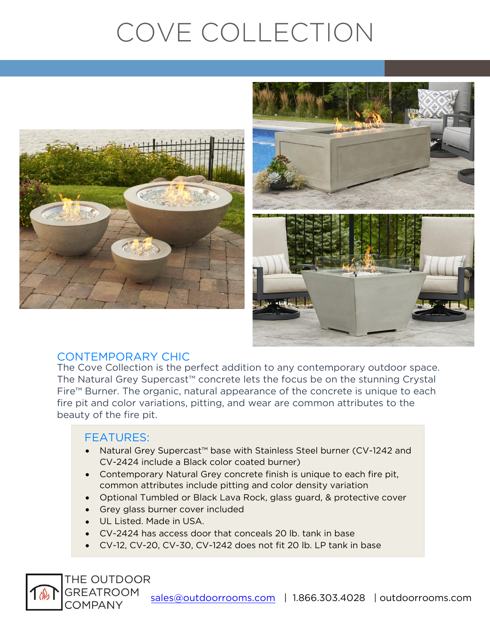# COVE COLLECTION





#### **CONTEMPORARY CHIC**

The Cove Collection is the perfect addition to any contemporary outdoor space. The Natural Grey Supercast<sup>™</sup> concrete lets the focus be on the stunning Crystal Fire<sup>™</sup> Burner. The organic, natural appearance of the concrete is unique to each fire pit and color variations, pitting, and wear are common attributes to the beauty of the fire pit. beauty of the first pit.

#### **FFATURES:**

THE OUTDOOR **GREATROOM COMPANY** 

- Natural Grey Supercast™ base with Stainless Steel burner (CV-1242 and CV-2424 and CV-2424
- Contemporary Natural Grey concrete finish is unique to each fire pit,<br>
common attributes include pitting and color density variation
- optional Tumbled or Black Lava Rock, glass guard, & protective cover<br>
Croy glass burner cover included
- Grey glass burner cover included
- UL Listed. Made in USA.
- CV-2424 has access door that conceals 20 lb. tank in base
- CV-12, CV-20, CV-30, CV-1242 does not fit 20 lb. LP tank in base